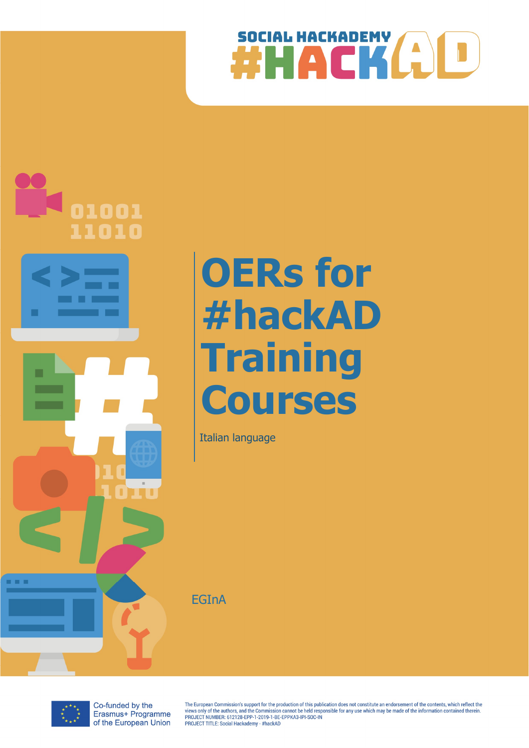



# OERs for #hackAD **Training Courses**

Italian language

**EGInA** 



Co-funded by the Erasmus+ Programme of the European Union

The European Commission's support for the production of this publication does not constitute an endorsement of the contents, which reflect the The Laury of the authors, and the Commission cannot be held responsible for any use which may be made of the information contained therein<br>PROJECT NUMBER: 612128-EPP-1-2019-1-BE-EPPKA3-IPI-SOC-IN PROJECT TITLE: Social Hackademy - #hackAD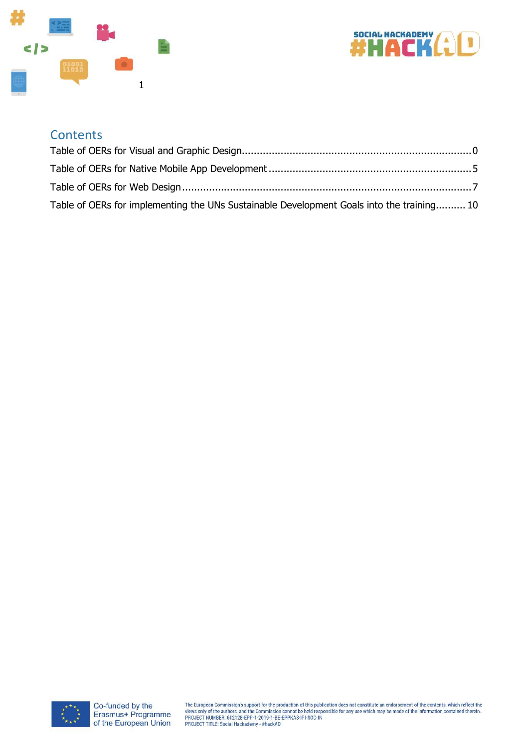



#### **Contents**

| Table of OERs for implementing the UNs Sustainable Development Goals into the training 10 |  |
|-------------------------------------------------------------------------------------------|--|

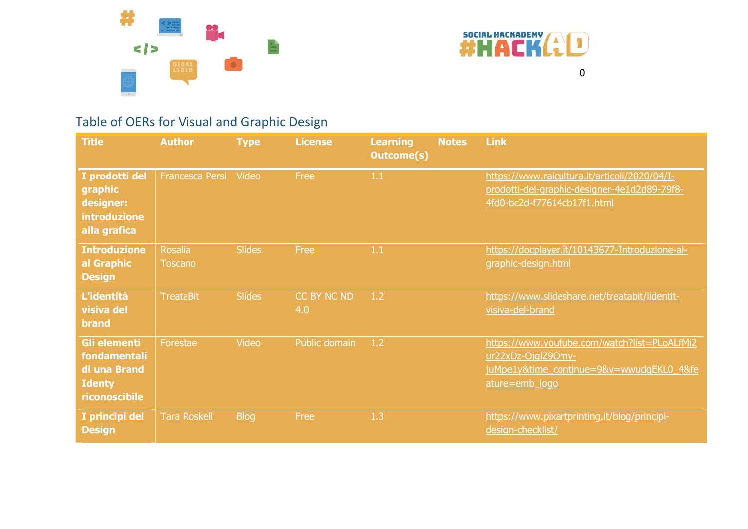



## Table of OERs for Visual and Graphic Design

| <b>Title</b>                                                                   | <b>Author</b>                    | <b>Type</b>   | <b>License</b>     | <b>Learning</b><br><b>Outcome(s)</b> | <b>Notes</b> | <b>Link</b>                                                                                                                      |
|--------------------------------------------------------------------------------|----------------------------------|---------------|--------------------|--------------------------------------|--------------|----------------------------------------------------------------------------------------------------------------------------------|
| I prodotti del<br>graphic<br>designer:<br>introduzione<br>alla grafica         | <b>Francesca Persi</b>           | Video         | Free               | 1.1                                  |              | https://www.raicultura.it/articoli/2020/04/I-<br>prodotti-del-graphic-designer-4e1d2d89-79f8-<br>4fd0-bc2d-f77614cb17f1.html     |
| <b>Introduzione</b><br>al Graphic<br><b>Design</b>                             | <b>Rosalia</b><br><b>Toscano</b> | <b>Slides</b> | Free               | 1.1                                  |              | https://docplayer.it/10143677-Introduzione-al-<br>graphic-design.html                                                            |
| L'identità<br>visiva del<br><b>brand</b>                                       | <b>TreataBit</b>                 | <b>Slides</b> | CC BY NC ND<br>4.0 | 1.2                                  |              | https://www.slideshare.net/treatabit/lidentit-<br>visiva-del-brand                                                               |
| Gli elementi<br>fondamentali<br>di una Brand<br><b>Identy</b><br>riconoscibile | Forestae                         | Video         | Public domain      | 1.2                                  |              | https://www.youtube.com/watch?list=PLoALfMi2<br>ur22xDz-OjglZ90mv-<br>juMpe1y&time_continue=9&v=wwudqEKL0_4&fe<br>ature=emb_logo |
| I principi del<br><b>Design</b>                                                | <b>Tara Roskell</b>              | <b>Blog</b>   | Free               | 1.3                                  |              | https://www.pixartprinting.it/blog/principi-<br>design-checklist/                                                                |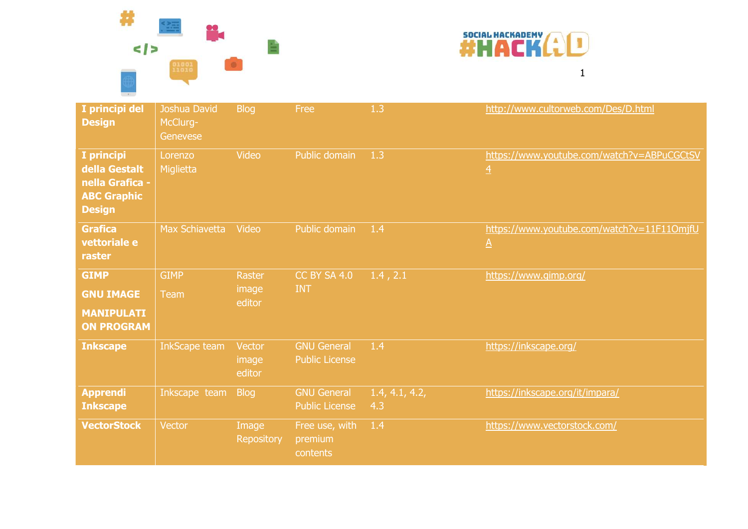# SOCIAL MACK()L



| I principi del<br><b>Design</b>                                                       | Joshua David<br>McClurg-<br>Genevese | <b>Blog</b>                      | Free                                        | 1.3                   | http://www.cultorweb.com/Des/D.html                           |
|---------------------------------------------------------------------------------------|--------------------------------------|----------------------------------|---------------------------------------------|-----------------------|---------------------------------------------------------------|
| I principi<br>della Gestalt<br>nella Grafica -<br><b>ABC Graphic</b><br><b>Design</b> | Lorenzo<br>Miglietta                 | Video                            | Public domain                               | 1.3                   | https://www.youtube.com/watch?v=ABPuCGCtSV<br>$\overline{4}$  |
| <b>Grafica</b><br>vettoriale e<br>raster                                              | <b>Max Schiavetta</b>                | Video                            | Public domain                               | 1.4                   | https://www.youtube.com/watch?v=11F110mjfU<br>$\underline{A}$ |
| <b>GIMP</b><br><b>GNU IMAGE</b><br><b>MANIPULATI</b><br><b>ON PROGRAM</b>             | <b>GIMP</b><br><b>Team</b>           | <b>Raster</b><br>image<br>editor | <b>CC BY SA 4.0</b><br><b>INT</b>           | 1.4, 2.1              | https://www.gimp.org/                                         |
| <b>Inkscape</b>                                                                       | <b>InkScape team</b>                 | Vector<br>image<br>editor        | <b>GNU General</b><br><b>Public License</b> | 1.4                   | https://inkscape.org/                                         |
| <b>Apprendi</b><br><b>Inkscape</b>                                                    | Inkscape team                        | <b>Blog</b>                      | <b>GNU General</b><br><b>Public License</b> | 1.4, 4.1, 4.2,<br>4.3 | https://inkscape.org/it/impara/                               |
| <b>VectorStock</b>                                                                    | Vector                               | Image<br><b>Repository</b>       | Free use, with<br>premium<br>contents       | 1.4                   | https://www.vectorstock.com/                                  |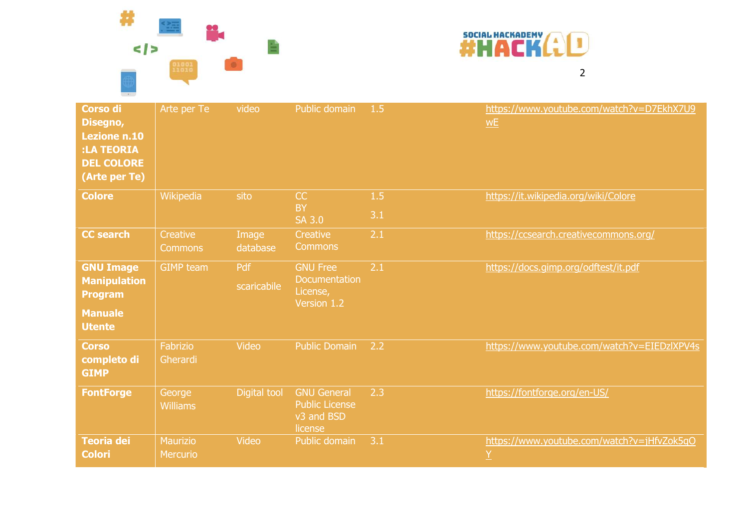



| Corso di<br>Disegno,<br><b>Lezione n.10</b><br>:LA TEORIA<br><b>DEL COLORE</b><br>(Arte per Te) | Arte per Te                 | video              | Public domain                                                        | 1.5        | https://www.youtube.com/watch?v=D7EkhX7U9<br>W <sub>E</sub> |
|-------------------------------------------------------------------------------------------------|-----------------------------|--------------------|----------------------------------------------------------------------|------------|-------------------------------------------------------------|
| <b>Colore</b>                                                                                   | Wikipedia                   | sito               | CC<br><b>BY</b><br><b>SA 3.0</b>                                     | 1.5<br>3.1 | https://it.wikipedia.org/wiki/Colore                        |
| <b>CC search</b>                                                                                | Creative<br><b>Commons</b>  | Image<br>database  | Creative<br><b>Commons</b>                                           | 2.1        | https://ccsearch.creativecommons.org/                       |
| <b>GNU Image</b><br><b>Manipulation</b><br><b>Program</b><br><b>Manuale</b><br><b>Utente</b>    | <b>GIMP team</b>            | Pdf<br>scaricabile | <b>GNU Free</b><br>Documentation<br>License,<br>Version 1.2          | 2.1        | https://docs.gimp.org/odftest/it.pdf                        |
| <b>Corso</b><br>completo di<br><b>GIMP</b>                                                      | Fabrizio<br>Gherardi        | <b>Video</b>       | <b>Public Domain</b>                                                 | 2.2        | https://www.youtube.com/watch?v=EIEDzIXPV4s                 |
| <b>FontForge</b>                                                                                | George<br><b>Williams</b>   | Digital tool       | <b>GNU General</b><br><b>Public License</b><br>v3 and BSD<br>license | 2.3        | https://fontforge.org/en-US/                                |
| Teoria dei<br><b>Colori</b>                                                                     | <b>Maurizio</b><br>Mercurio | Video              | Public domain                                                        | 3.1        | https://www.youtube.com/watch?v=jHfvZok5qO<br>Y             |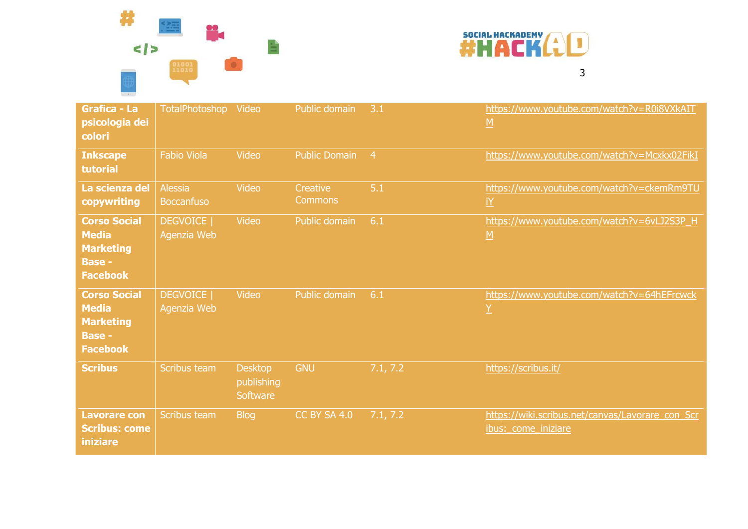



| <b>Grafica - La</b><br>psicologia dei<br><b>colori</b>                                      | <b>TotalPhotoshop</b>               | Video                                    | Public domain                     | 3.1            | https://www.youtube.com/watch?v=R0i8VXkAIT<br>$\underline{M}$           |
|---------------------------------------------------------------------------------------------|-------------------------------------|------------------------------------------|-----------------------------------|----------------|-------------------------------------------------------------------------|
| <b>Inkscape</b><br>tutorial                                                                 | <b>Fabio Viola</b>                  | Video                                    | <b>Public Domain</b>              | $\overline{4}$ | https://www.youtube.com/watch?v=Mcxkx02FikI                             |
| La scienza del<br>copywriting                                                               | <b>Alessia</b><br><b>Boccanfuso</b> | Video                                    | <b>Creative</b><br><b>Commons</b> | 5.1            | https://www.youtube.com/watch?v=ckemRm9TU<br><u>iY</u>                  |
| <b>Corso Social</b><br><b>Media</b><br><b>Marketing</b><br><b>Base -</b><br><b>Facebook</b> | <b>DEGVOICE</b>  <br>Agenzia Web    | Video                                    | Public domain                     | 6.1            | https://www.youtube.com/watch?v=6vLJ2S3P_H<br>$\underline{M}$           |
| <b>Corso Social</b><br><b>Media</b><br><b>Marketing</b><br><b>Base -</b><br><b>Facebook</b> | <b>DEGVOICE</b>  <br>Agenzia Web    | <b>Video</b>                             | Public domain                     | 6.1            | https://www.youtube.com/watch?v=64hEFrcwck<br>$\underline{Y}$           |
| <b>Scribus</b>                                                                              | Scribus team                        | <b>Desktop</b><br>publishing<br>Software | <b>GNU</b>                        | 7.1, 7.2       | https://scribus.it/                                                     |
| <b>Lavorare con</b><br><b>Scribus: come</b><br><b>iniziare</b>                              | Scribus team                        | <b>Blog</b>                              | <b>CC BY SA 4.0</b>               | 7.1, 7.2       | https://wiki.scribus.net/canvas/Lavorare_con_Scr<br>ibus: come iniziare |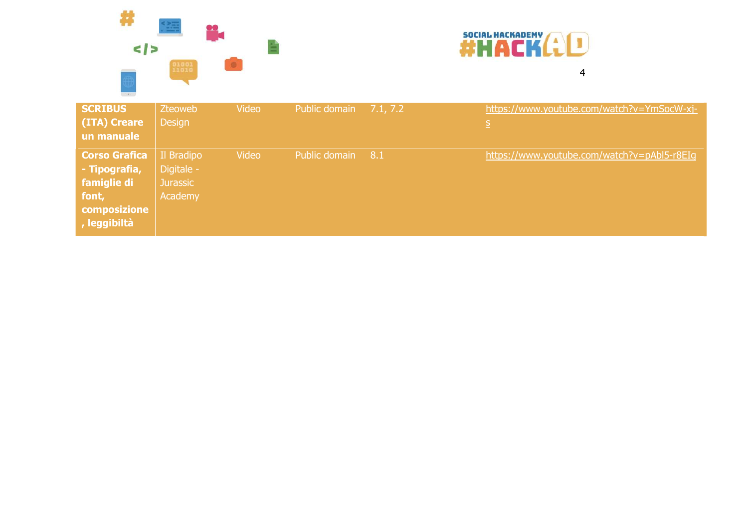



| <b>SCRIBUS</b>       | Zteoweb         | Video | Public domain | 7.1, 7.2 | https://www.youtube.com/watch?v=YmSocW-xj-  |
|----------------------|-----------------|-------|---------------|----------|---------------------------------------------|
| (ITA) Creare         | <b>Design</b>   |       |               |          | <u>s</u>                                    |
| un manuale           |                 |       |               |          |                                             |
| <b>Corso Grafica</b> | Il Bradipo      | Video | Public domain | 8.1      | https://www.youtube.com/watch?v=pAbl5-r8EIg |
| - Tipografia,        | Digitale -      |       |               |          |                                             |
| famiglie di          | <b>Jurassic</b> |       |               |          |                                             |
| font,                | Academy         |       |               |          |                                             |
| composizione         |                 |       |               |          |                                             |
| , leggibiltà         |                 |       |               |          |                                             |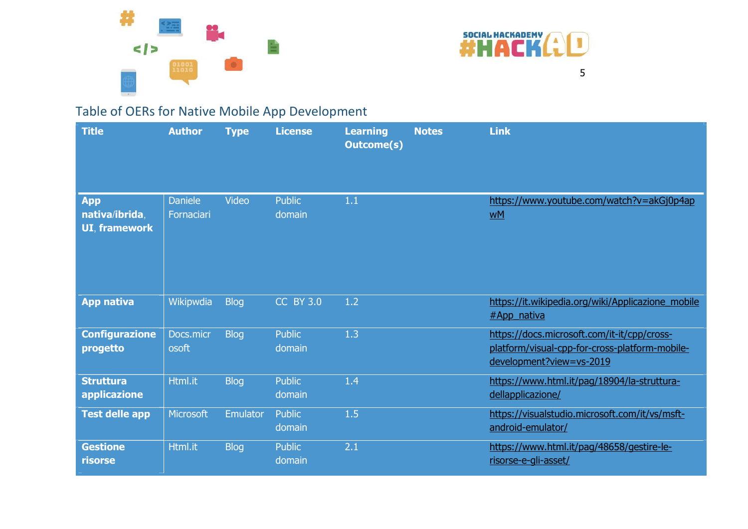



## Table of OERs for Native Mobile App Development

| <b>Title</b>                                         | <b>Author</b>                | <b>Type</b>     | <b>License</b>          | <b>Learning</b><br><b>Outcome(s)</b> | <b>Notes</b> | <b>Link</b>                                                                                                               |
|------------------------------------------------------|------------------------------|-----------------|-------------------------|--------------------------------------|--------------|---------------------------------------------------------------------------------------------------------------------------|
| <b>App</b><br>nativa/ibrida,<br><b>UI, framework</b> | <b>Daniele</b><br>Fornaciari | Video           | <b>Public</b><br>domain | 1.1                                  |              | https://www.youtube.com/watch?v=akGj0p4ap<br>wM                                                                           |
| <b>App nativa</b>                                    | Wikipwdia                    | <b>Blog</b>     | <b>CC BY 3.0</b>        | 1.2                                  |              | https://it.wikipedia.org/wiki/Applicazione_mobile<br>#App_nativa                                                          |
| <b>Configurazione</b><br>progetto                    | Docs.micr<br>osoft           | <b>Blog</b>     | <b>Public</b><br>domain | 1.3                                  |              | https://docs.microsoft.com/it-it/cpp/cross-<br>platform/visual-cpp-for-cross-platform-mobile-<br>development?view=vs-2019 |
| <b>Struttura</b><br>applicazione                     | Html.it                      | <b>Blog</b>     | <b>Public</b><br>domain | 1.4                                  |              | https://www.html.it/pag/18904/la-struttura-<br>dellapplicazione/                                                          |
| <b>Test delle app</b>                                | Microsoft                    | <b>Emulator</b> | <b>Public</b><br>domain | 1.5                                  |              | https://visualstudio.microsoft.com/it/vs/msft-<br>android-emulator/                                                       |
| <b>Gestione</b><br>risorse                           | Html.it                      | <b>Blog</b>     | <b>Public</b><br>domain | 2.1                                  |              | https://www.html.it/pag/48658/gestire-le-<br>risorse-e-gli-asset/                                                         |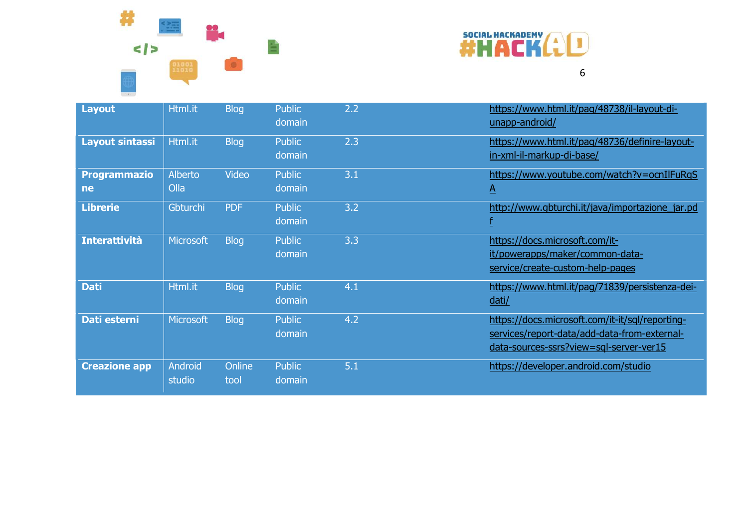



| <b>Layout</b>             | Html.it           | <b>Blog</b>    | <b>Public</b><br>domain | 2.2 | https://www.html.it/pag/48738/il-layout-di-<br>unapp-android/                                                                              |
|---------------------------|-------------------|----------------|-------------------------|-----|--------------------------------------------------------------------------------------------------------------------------------------------|
| <b>Layout sintassi</b>    | Html.it           | <b>Blog</b>    | <b>Public</b><br>domain | 2.3 | https://www.html.it/pag/48736/definire-layout-<br>in-xml-il-markup-di-base/                                                                |
| <b>Programmazio</b><br>ne | Alberto<br>Olla   | <b>Video</b>   | <b>Public</b><br>domain | 3.1 | https://www.youtube.com/watch?v=ocnIlFuRqS<br><u>A</u>                                                                                     |
| <b>Librerie</b>           | Gbturchi          | <b>PDF</b>     | <b>Public</b><br>domain | 3.2 | http://www.gbturchi.it/java/importazione_jar.pd                                                                                            |
| <b>Interattività</b>      | <b>Microsoft</b>  | <b>Blog</b>    | <b>Public</b><br>domain | 3.3 | https://docs.microsoft.com/it-<br>it/powerapps/maker/common-data-<br>service/create-custom-help-pages                                      |
| <b>Dati</b>               | Html.it           | <b>Blog</b>    | <b>Public</b><br>domain | 4.1 | https://www.html.it/pag/71839/persistenza-dei-<br>dati/                                                                                    |
| <b>Dati esterni</b>       | <b>Microsoft</b>  | <b>Blog</b>    | <b>Public</b><br>domain | 4.2 | https://docs.microsoft.com/it-it/sql/reporting-<br>services/report-data/add-data-from-external-<br>data-sources-ssrs?view=sql-server-ver15 |
| <b>Creazione app</b>      | Android<br>studio | Online<br>tool | <b>Public</b><br>domain | 5.1 | https://developer.android.com/studio                                                                                                       |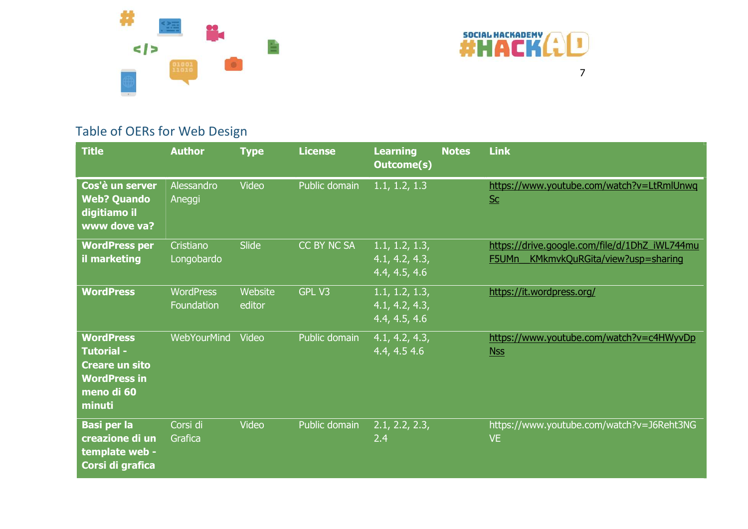



## Table of OERs for Web Design

| <b>Title</b>                                                                                                  | <b>Author</b>                  | <b>Type</b>              | <b>License</b> | <b>Learning</b><br><b>Outcome(s)</b>              | <b>Notes</b> | <b>Link</b>                                                                              |
|---------------------------------------------------------------------------------------------------------------|--------------------------------|--------------------------|----------------|---------------------------------------------------|--------------|------------------------------------------------------------------------------------------|
| Cos'è un server<br><b>Web? Quando</b><br>digitiamo il<br>www dove va?                                         | Alessandro<br>Aneggi           | Video                    | Public domain  | 1.1, 1.2, 1.3                                     |              | https://www.youtube.com/watch?v=LtRmlUnwq<br>$SC$                                        |
| <b>WordPress per</b><br>il marketing                                                                          | Cristiano<br>Longobardo        | Slide                    | CC BY NC SA    | 1.1, 1.2, 1.3,<br>4.1, 4.2, 4.3,<br>4.4, 4.5, 4.6 |              | https://drive.google.com/file/d/1DhZ_iWL744mu<br>F5UMn<br>KMkmvkQuRGita/view?usp=sharing |
| <b>WordPress</b>                                                                                              | <b>WordPress</b><br>Foundation | <b>Website</b><br>editor | GPL V3         | 1.1, 1.2, 1.3,<br>4.1, 4.2, 4.3,<br>4.4, 4.5, 4.6 |              | https://it.wordpress.org/                                                                |
| <b>WordPress</b><br><b>Tutorial -</b><br><b>Creare un sito</b><br><b>WordPress in</b><br>meno di 60<br>minuti | <b>WebYourMind</b>             | Video                    | Public domain  | 4.1, 4.2, 4.3,<br>4.4, 4.5 4.6                    |              | https://www.youtube.com/watch?v=c4HWyvDp<br>Nss                                          |
| <b>Basi per la</b><br>creazione di un<br>template web -<br>Corsi di grafica                                   | Corsi di<br>Grafica            | Video                    | Public domain  | 2.1, 2.2, 2.3,<br>2.4                             |              | https://www.youtube.com/watch?v=J6Reht3NG<br>VE.                                         |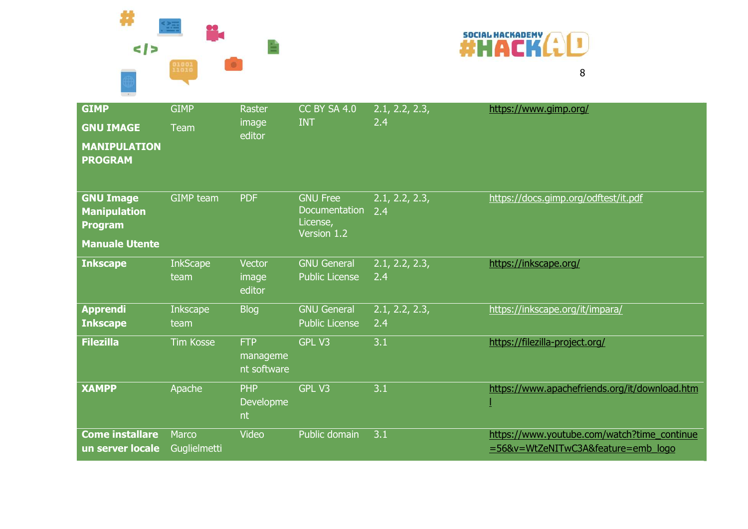#  $\frac{1}{2}$ SUCH ACKADEMY (1)



| <b>GIMP</b><br><b>GNU IMAGE</b><br><b>MANIPULATION</b><br><b>PROGRAM</b>           | <b>GIMP</b><br>Team     | <b>Raster</b><br>image<br>editor      | <b>CC BY SA 4.0</b><br><b>INT</b>                           | 2.1, 2.2, 2.3,<br>2.4 | https://www.gimp.org/                                                             |
|------------------------------------------------------------------------------------|-------------------------|---------------------------------------|-------------------------------------------------------------|-----------------------|-----------------------------------------------------------------------------------|
| <b>GNU Image</b><br><b>Manipulation</b><br><b>Program</b><br><b>Manuale Utente</b> | <b>GIMP</b> team        | <b>PDF</b>                            | <b>GNU Free</b><br>Documentation<br>License,<br>Version 1.2 | 2.1, 2.2, 2.3,<br>2.4 | https://docs.gimp.org/odftest/it.pdf                                              |
| <b>Inkscape</b>                                                                    | <b>InkScape</b><br>team | Vector<br>image<br>editor             | <b>GNU General</b><br><b>Public License</b>                 | 2.1, 2.2, 2.3,<br>2.4 | https://inkscape.org/                                                             |
| <b>Apprendi</b><br><b>Inkscape</b>                                                 | <b>Inkscape</b><br>team | <b>Blog</b>                           | <b>GNU General</b><br><b>Public License</b>                 | 2.1, 2.2, 2.3,<br>2.4 | https://inkscape.org/it/impara/                                                   |
| <b>Filezilla</b>                                                                   | <b>Tim Kosse</b>        | <b>FTP</b><br>manageme<br>nt software | GPL V3                                                      | 3.1                   | https://filezilla-project.org/                                                    |
| <b>XAMPP</b>                                                                       | Apache                  | <b>PHP</b><br><b>Developme</b><br>nt  | <b>GPL V3</b>                                               | 3.1                   | https://www.apachefriends.org/it/download.htm                                     |
| <b>Come installare</b><br>un server locale                                         | Marco<br>Guglielmetti   | Video                                 | Public domain                                               | 3.1                   | https://www.youtube.com/watch?time_continue<br>=56&v=WtZeNITwC3A&feature=emb_logo |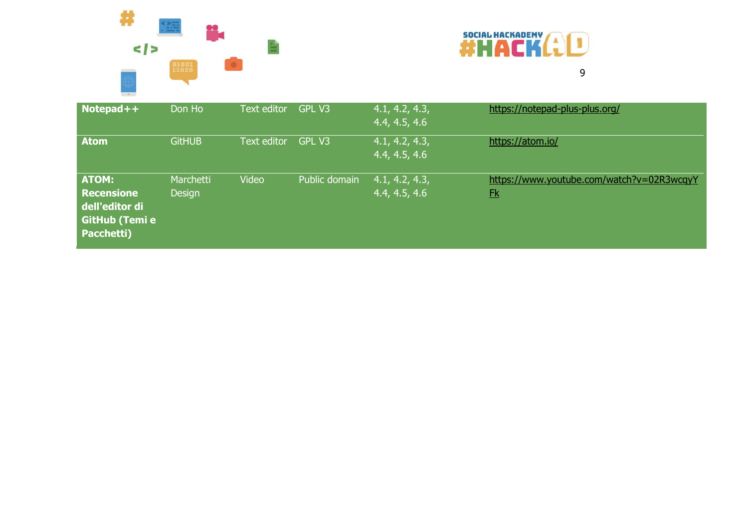



| Notepad++                                                                                  | Don Ho                     | Text editor | GPL V3        | 4.1, 4.2, 4.3,<br>4.4, 4.5, 4.6 | https://notepad-plus-plus.org/                              |
|--------------------------------------------------------------------------------------------|----------------------------|-------------|---------------|---------------------------------|-------------------------------------------------------------|
| <b>Atom</b>                                                                                | <b>GitHUB</b>              | Text editor | GPL V3        | 4.1, 4.2, 4.3,<br>4.4, 4.5, 4.6 | https://atom.io/                                            |
| <b>ATOM:</b><br><b>Recensione</b><br>dell'editor di<br><b>GitHub (Temi e</b><br>Pacchetti) | Marchetti<br><b>Design</b> | Video       | Public domain | 4.1, 4.2, 4.3,<br>4.4, 4.5, 4.6 | https://www.youtube.com/watch?v=02R3wcqyY<br>E <sub>k</sub> |